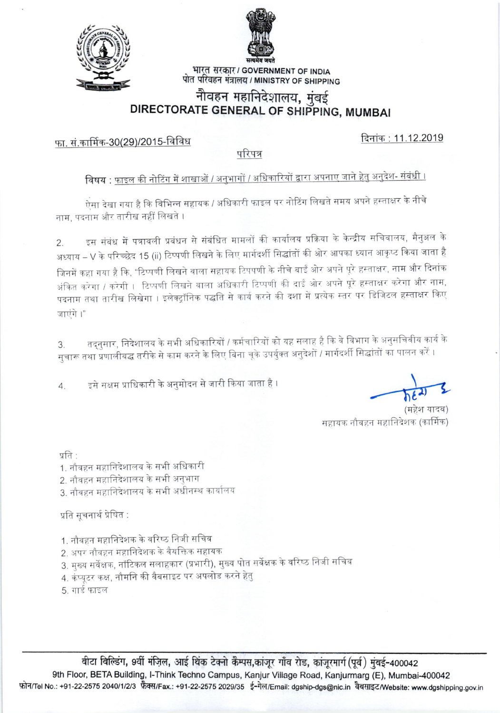



भारत सरकार / GOVERNMENT OF INDIA पोत परिवहन मंत्रालय / MINISTRY OF SHIPPING

# नौवहन महानिदेशालय, मुंबई<br>DIRECTORATE GENERAL OF SHIPPING, MUMBAI

फा. सं.कार्मिक-30(29)/2015-विविध

दिनांक: 11.12.2019

परिपत्र

# विषय : फाइल की नोटिंग में शाखाओं / अनुभागों / अधिकारियों द्वारा अपनाए जाने हेतु अनुदेश- संबंधी ।

.<br>ऐसा देखा गया है कि विभिन्न सहायक / अधिकारी फाइल पर नोटिंग लिखते समय अपने हस्ताक्षर के नीचे नाम, पदनाम और तारीख नहीं लिखते ।

इस संबंध में पत्रावली प्रबंधन से संबंधित मामलों की कार्यालय प्रक्रिया के केन्द्रीय सचिवालय, मैनुअल के  $\overline{2}$ . अध्याय – V के परिच्छेद 15 (ii) टिप्पणी लिखने के लिए मार्गदर्शी सिद्धांतों की ओर आपका ध्यान आकृष्ट किया जाता है जिनमें कहा गया है कि, "टिप्पणी लिखने वाला सहायक टिपपणी के नीचे बाईं ओर अपने पूरे हस्ताक्षर, नाम और दिनांक अंकित करेगा / करेगी । टिप्पणी लिखने वाला अधिकारी टिप्पणी की दाईं ओर अपने पूरे हस्ताक्षर करेगा और नाम, पदनाम तथा तारीख लिखेगा । इलेक्ट्रॉनिक पद्धति से कार्य करने की दशा में प्रत्येक स्तर पर डिजिटल हस्ताक्षर किए जाएंगे।"

तद्नुसार, निदेशालय के सभी अधिकारियों / कर्मचारियों को यह सलाह है कि वे विभाग के अनुसचिवीय कार्य के 3. सुचारू तथा प्रणालीबद्ध तरीके से काम करने के लिए बिना चूके उपर्युक्त अनुदेशों / मार्गदर्शी सिद्धांतों का पालन करें ।

इसे सक्षम प्राधिकारी के अनुमोदन से जारी किया जाता है ।  $4.$ 

सहायक नौवहन महानिदेशक (कार्मिक)

प्रति '

- 1. नौवहन महानिदेशालय के सभी अधिकारी
- 2. नौवहन महानिदेशालय के सभी अनभाग
- 3. नौवहन महानिदेशालय के सभी अधीनस्थ कार्यालय

प्रति सूचनार्थ प्रेषित :

- 1. नौवहन महानिदेशक के वरिष्ठ निजी सचिव
- 2. अपर नौवहन महानिदेशक के वैयक्तिक सहायक
- 3. मुख्य सर्वेक्षक, नॉटिकल सलाहकार (प्रभारी), मुख्य पोत सर्वेक्षक के वरिष्ठ निजी सचिव
- 4. कंप्यूटर कक्ष, नौमनि की वैबसाइट पर अपलोड करने हेत्
- 5. गार्ड फाइल

बीटा बिल्डिंग, 9वीं मंज़िल, आई थिंक टेक्नो कैम्पस,कांजूर गाँव रोड, कांजुरमार्ग (पूर्व) मुंबई-400042 9th Floor, BETA Building, I-Think Techno Campus, Kanjur Village Road, Kanjurmarg (E), Mumbai-400042 फ़ोन/Tel No.: +91-22-2575 2040/1/2/3 फ़ैक्स/Fax.: +91-22-2575 2029/35 ई-मेल/Email: dgship-dgs@nic.in वैबसाइट/Website: www.dgshipping.gov.in